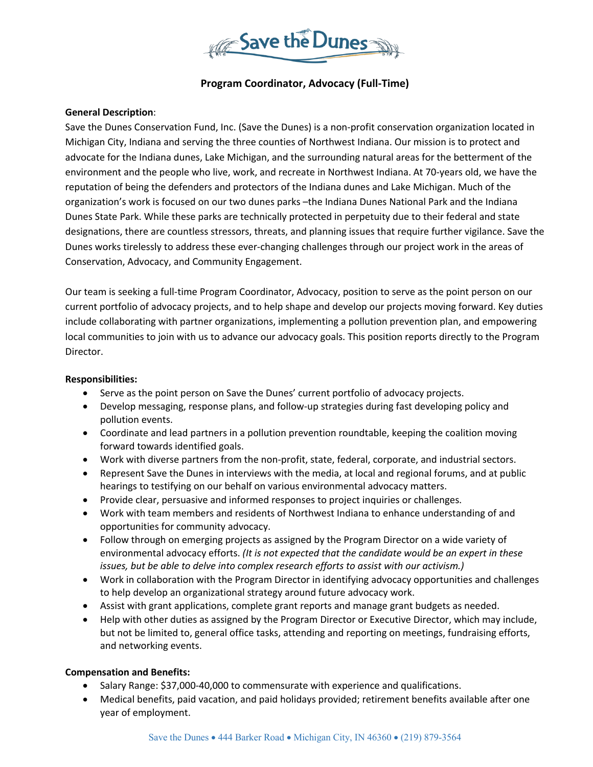

# **Program Coordinator, Advocacy (Full-Time)**

#### **General Description**:

Save the Dunes Conservation Fund, Inc. (Save the Dunes) is a non-profit conservation organization located in Michigan City, Indiana and serving the three counties of Northwest Indiana. Our mission is to protect and advocate for the Indiana dunes, Lake Michigan, and the surrounding natural areas for the betterment of the environment and the people who live, work, and recreate in Northwest Indiana. At 70-years old, we have the reputation of being the defenders and protectors of the Indiana dunes and Lake Michigan. Much of the organization's work is focused on our two dunes parks –the Indiana Dunes National Park and the Indiana Dunes State Park. While these parks are technically protected in perpetuity due to their federal and state designations, there are countless stressors, threats, and planning issues that require further vigilance. Save the Dunes works tirelessly to address these ever-changing challenges through our project work in the areas of Conservation, Advocacy, and Community Engagement.

Our team is seeking a full-time Program Coordinator, Advocacy, position to serve as the point person on our current portfolio of advocacy projects, and to help shape and develop our projects moving forward. Key duties include collaborating with partner organizations, implementing a pollution prevention plan, and empowering local communities to join with us to advance our advocacy goals. This position reports directly to the Program Director.

#### **Responsibilities:**

- Serve as the point person on Save the Dunes' current portfolio of advocacy projects.
- Develop messaging, response plans, and follow-up strategies during fast developing policy and pollution events.
- Coordinate and lead partners in a pollution prevention roundtable, keeping the coalition moving forward towards identified goals.
- Work with diverse partners from the non-profit, state, federal, corporate, and industrial sectors.
- Represent Save the Dunes in interviews with the media, at local and regional forums, and at public hearings to testifying on our behalf on various environmental advocacy matters.
- Provide clear, persuasive and informed responses to project inquiries or challenges.
- Work with team members and residents of Northwest Indiana to enhance understanding of and opportunities for community advocacy.
- Follow through on emerging projects as assigned by the Program Director on a wide variety of environmental advocacy efforts. *(It is not expected that the candidate would be an expert in these issues, but be able to delve into complex research efforts to assist with our activism.)*
- Work in collaboration with the Program Director in identifying advocacy opportunities and challenges to help develop an organizational strategy around future advocacy work.
- Assist with grant applications, complete grant reports and manage grant budgets as needed.
- Help with other duties as assigned by the Program Director or Executive Director, which may include, but not be limited to, general office tasks, attending and reporting on meetings, fundraising efforts, and networking events.

#### **Compensation and Benefits:**

- Salary Range: \$37,000-40,000 to commensurate with experience and qualifications.
- Medical benefits, paid vacation, and paid holidays provided; retirement benefits available after one year of employment.